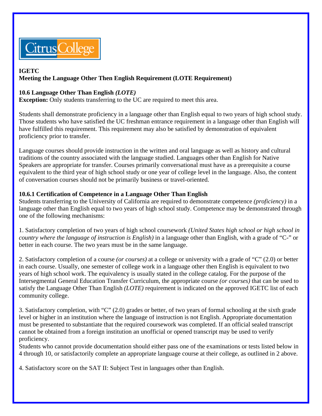

# **IGETC**

# **Meeting the Language Other Then English Requirement (LOTE Requirement)**

## **10.6 Language Other Than English** *(LOTE)*

**Exception:** Only students transferring to the UC are required to meet this area.

Students shall demonstrate proficiency in a language other than English equal to two years of high school study. Those students who have satisfied the UC freshman entrance requirement in a language other than English will have fulfilled this requirement. This requirement may also be satisfied by demonstration of equivalent proficiency prior to transfer.

Language courses should provide instruction in the written and oral language as well as history and cultural traditions of the country associated with the language studied. Languages other than English for Native Speakers are appropriate for transfer. Courses primarily conversational must have as a prerequisite a course equivalent to the third year of high school study or one year of college level in the language. Also, the content of conversation courses should not be primarily business or travel-oriented.

## **10.6.1 Certification of Competence in a Language Other Than English**

Students transferring to the University of California are required to demonstrate competence *(proficiency)* in a language other than English equal to two years of high school study. Competence may be demonstrated through one of the following mechanisms:

1. Satisfactory completion of two years of high school coursework *(United States high school or high school in country where the language of instruction is English)* in a language other than English, with a grade of "C-" or better in each course. The two years must be in the same language.

2. Satisfactory completion of a course *(or courses)* at a college or university with a grade of "C" (2.0) or better in each course. Usually, one semester of college work in a language other then English is equivalent to two years of high school work. The equivalency is usually stated in the college catalog. For the purpose of the Intersegmental General Education Transfer Curriculum, the appropriate course *(or courses)* that can be used to satisfy the Language Other Than English *(LOTE)* requirement is indicated on the approved IGETC list of each community college.

3. Satisfactory completion, with "C" (2.0) grades or better, of two years of formal schooling at the sixth grade level or higher in an institution where the language of instruction is not English. Appropriate documentation must be presented to substantiate that the required coursework was completed. If an official sealed transcript cannot be obtained from a foreign institution an unofficial or opened transcript may be used to verify proficiency.

Students who cannot provide documentation should either pass one of the examinations or tests listed below in 4 through 10, or satisfactorily complete an appropriate language course at their college, as outlined in 2 above.

4. Satisfactory score on the SAT II: Subject Test in languages other than English.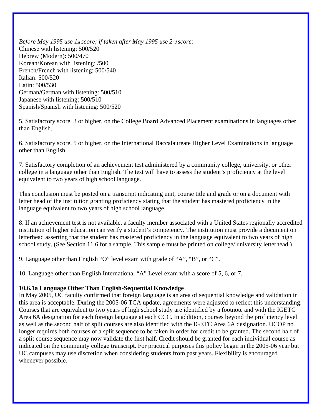*Before May 1995 use 1st score; if taken after May 1995 use 2nd score:*  Chinese with listening: 500/520 Hebrew (Modern): 500/470 Korean/Korean with listening: /500 French/French with listening: 500/540 Italian: 500/520 Latin: 500/530 German/German with listening: 500/510 Japanese with listening: 500/510 Spanish/Spanish with listening: 500/520

5. Satisfactory score, 3 or higher, on the College Board Advanced Placement examinations in languages other than English.

6. Satisfactory score, 5 or higher, on the International Baccalaureate Higher Level Examinations in language other than English.

7. Satisfactory completion of an achievement test administered by a community college, university, or other college in a language other than English. The test will have to assess the student's proficiency at the level equivalent to two years of high school language.

This conclusion must be posted on a transcript indicating unit, course title and grade or on a document with letter head of the institution granting proficiency stating that the student has mastered proficiency in the language equivalent to two years of high school language.

8. If an achievement test is not available, a faculty member associated with a United States regionally accredited institution of higher education can verify a student's competency. The institution must provide a document on letterhead asserting that the student has mastered proficiency in the language equivalent to two years of high school study. (See Section 11.6 for a sample. This sample must be printed on college/ university letterhead.)

9. Language other than English "O" level exam with grade of "A", "B", or "C".

10. Language other than English International "A" Level exam with a score of 5, 6, or 7.

#### **10.6.1a Language Other Than English-Sequential Knowledge**

In May 2005, UC faculty confirmed that foreign language is an area of sequential knowledge and validation in this area is acceptable. During the 2005-06 TCA update, agreements were adjusted to reflect this understanding. Courses that are equivalent to two years of high school study are identified by a footnote and with the IGETC Area 6A designation for each foreign language at each CCC. In addition, courses beyond the proficiency level as well as the second half of split courses are also identified with the IGETC Area 6A designation. UCOP no longer requires both courses of a split sequence to be taken in order for credit to be granted. The second half of a split course sequence may now validate the first half. Credit should be granted for each individual course as indicated on the community college transcript. For practical purposes this policy began in the 2005-06 year but UC campuses may use discretion when considering students from past years. Flexibility is encouraged whenever possible.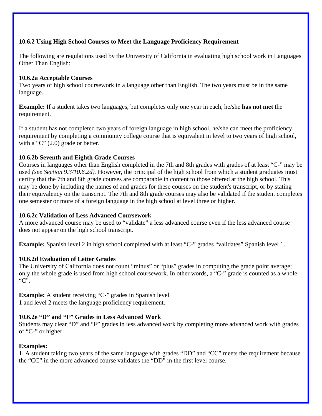## **10.6.2 Using High School Courses to Meet the Language Proficiency Requirement**

The following are regulations used by the University of California in evaluating high school work in Languages Other Than English:

#### **10.6.2a Acceptable Courses**

Two years of high school coursework in a language other than English. The two years must be in the same language.

**Example:** If a student takes two languages, but completes only one year in each, he/she **has not met** the requirement.

If a student has not completed two years of foreign language in high school, he/she can meet the proficiency requirement by completing a community college course that is equivalent in level to two years of high school, with a "C" (2.0) grade or better.

## **10.6.2b Seventh and Eighth Grade Courses**

Courses in languages other than English completed in the 7th and 8th grades with grades of at least "C-" may be used *(see Section 9.3/10.6.2d).* However, the principal of the high school from which a student graduates must certify that the 7th and 8th grade courses are comparable in content to those offered at the high school. This may be done by including the names of and grades for these courses on the student's transcript, or by stating their equivalency on the transcript. The 7th and 8th grade courses may also be validated if the student completes one semester or more of a foreign language in the high school at level three or higher.

#### **10.6.2c Validation of Less Advanced Coursework**

A more advanced course may be used to "validate" a less advanced course even if the less advanced course does not appear on the high school transcript.

**Example:** Spanish level 2 in high school completed with at least "C-" grades "validates" Spanish level 1.

#### **10.6.2d Evaluation of Letter Grades**

The University of California does not count "minus" or "plus" grades in computing the grade point average; only the whole grade is used from high school coursework. In other words, a "C-" grade is counted as a whole "C".

**Example:** A student receiving "C-" grades in Spanish level 1 and level 2 meets the language proficiency requirement.

#### **10.6.2e "D" and "F" Grades in Less Advanced Work**

Students may clear "D" and "F" grades in less advanced work by completing more advanced work with grades of "C-" or higher.

#### **Examples:**

1. A student taking two years of the same language with grades "DD" and "CC" meets the requirement because the "CC" in the more advanced course validates the "DD" in the first level course.